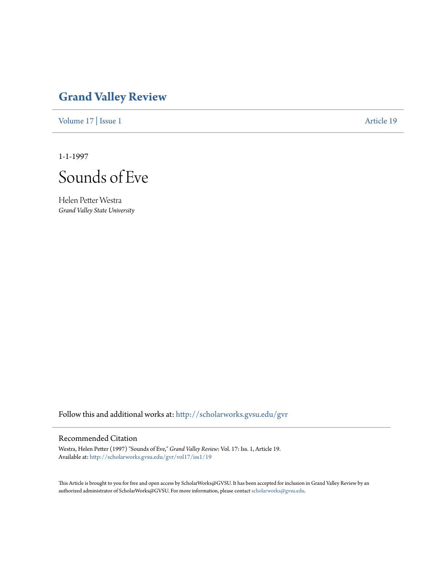# **[Grand Valley Review](http://scholarworks.gvsu.edu/gvr?utm_source=scholarworks.gvsu.edu%2Fgvr%2Fvol17%2Fiss1%2F19&utm_medium=PDF&utm_campaign=PDFCoverPages)**

[Volume 17](http://scholarworks.gvsu.edu/gvr/vol17?utm_source=scholarworks.gvsu.edu%2Fgvr%2Fvol17%2Fiss1%2F19&utm_medium=PDF&utm_campaign=PDFCoverPages) | [Issue 1](http://scholarworks.gvsu.edu/gvr/vol17/iss1?utm_source=scholarworks.gvsu.edu%2Fgvr%2Fvol17%2Fiss1%2F19&utm_medium=PDF&utm_campaign=PDFCoverPages) [Article 19](http://scholarworks.gvsu.edu/gvr/vol17/iss1/19?utm_source=scholarworks.gvsu.edu%2Fgvr%2Fvol17%2Fiss1%2F19&utm_medium=PDF&utm_campaign=PDFCoverPages)

1-1-1997



Helen Petter Westra *Grand Valley State University*

Follow this and additional works at: [http://scholarworks.gvsu.edu/gvr](http://scholarworks.gvsu.edu/gvr?utm_source=scholarworks.gvsu.edu%2Fgvr%2Fvol17%2Fiss1%2F19&utm_medium=PDF&utm_campaign=PDFCoverPages)

### Recommended Citation

Westra, Helen Petter (1997) "Sounds of Eve," *Grand Valley Review*: Vol. 17: Iss. 1, Article 19. Available at: [http://scholarworks.gvsu.edu/gvr/vol17/iss1/19](http://scholarworks.gvsu.edu/gvr/vol17/iss1/19?utm_source=scholarworks.gvsu.edu%2Fgvr%2Fvol17%2Fiss1%2F19&utm_medium=PDF&utm_campaign=PDFCoverPages)

This Article is brought to you for free and open access by ScholarWorks@GVSU. It has been accepted for inclusion in Grand Valley Review by an authorized administrator of ScholarWorks@GVSU. For more information, please contact [scholarworks@gvsu.edu.](mailto:scholarworks@gvsu.edu)